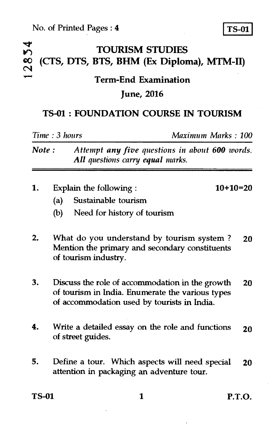#### **mod' 10") TOURISM STUDIES**  (CTS, DTS, BTS, BHM (Ex Diploma), MTM-II)  $\overline{\mathbf{C}}$

#### **Term-End Examination**

### **June, 2016**

## **TS-01 : FOUNDATION COURSE IN TOURISM**

*Time : 3 hours Maximum Marks : 100* 

*Note : Attempt any five questions in about 600 words. All questions carry equal marks.* 

1. Explain the following : 10+10=20

- (a) Sustainable tourism
- (b) Need for history of tourism
- 2. What do you understand by tourism system ? 20 Mention the primary and secondary constituents of tourism industry.
- 3. Discuss the role of accommodation in the growth 20 of tourism in India. Enumerate the various types of accommodation used by tourists in India.
- **4.** Write a detailed essay on the role and functions  $20$ of street guides.
- 5. Define a tour. Which aspects will need special 20 attention in packaging an adventure tour.

TS-01 1 P.T.O.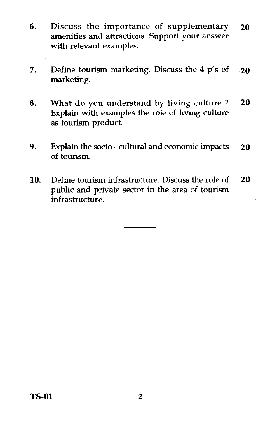- 6. Discuss the importance of supplementary **20**  amenities and attractions. Support your answer with relevant examples.
- 7. Define tourism marketing. Discuss the 4 p's of **20**  marketing.
- 8. What do you understand by living culture ? **20**  Explain with examples the role of living culture as tourism product.
- 9. Explain the socio cultural and economic impacts **20**  of tourism.
- 10. Define tourism infrastructure. Discuss the role of **20**  public and private sector in the area of tourism infrastructure.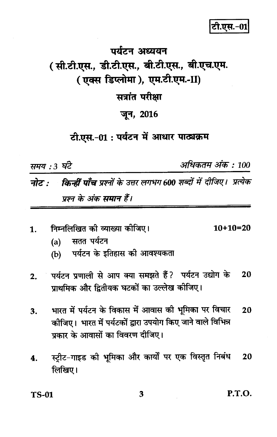## टी.एस.-01

# पर्यटन अध्ययन ( सी.टी.एस., डी.टी.एस., बी.टी.एस., बी.एच.एम. (एक्स डिप्लोमा), एम.टी.एम.-II) सत्रांत परीक्षा जून, 2016

## टी.एस.-01 : पर्यटन में आधार पाठ्यक्रम

समय : 3 घंटे

अधिकतम अंक : 100

किन्हीं पाँच प्रश्नों के उत्तर लगभग 600 शब्दों में दीजिए। प्रत्येक नोट : प्रश्न के अंक समान हैं।

- निम्नलिखित को व्याख्या कीजिए।  $10+10=20$  $\mathbf{1}$ 
	- सतत पर्यटन  $(a)$
	- पर्यटन के इतिहास की आवश्यकता  $(b)$
- पर्यटन प्रणाली से आप क्या समझते हैं? पर्यटन उद्योग के 20  $2.$ प्राथमिक और द्वितीयक घटकों का उल्लेख कीजिए।
- भारत में पर्यटन के विकास में आवास की भूमिका पर विचार 20 3. कीजिए। भारत में पर्यटकों द्वारा उपयोग किए जाने वाले विभिन्न पकार के आवासों का विवरण दीजिए।
- स्ट्रीट-गाइड की भूमिका और कार्यों पर एक विस्तृत निबंध 20 4. लिखिए।

TS-01